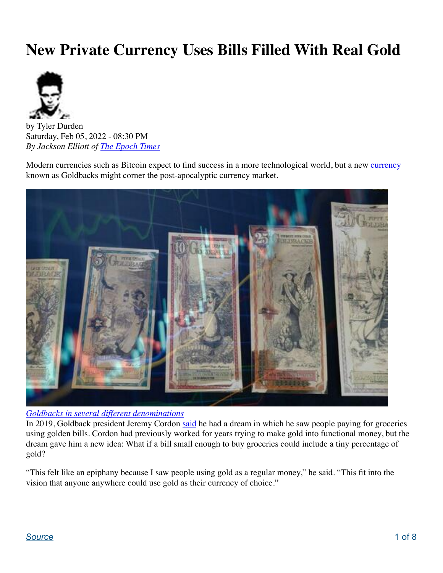# **New Private Currency Uses Bills Filled With Real Gold**



by Tyler Durden Saturday, Feb 05, 2022 - 08:30 PM *By Jackson Elliott of [The Epoch Times](https://www.theepochtimes.com/new-private-currency-offering-money-for-the-apocalypse_4226175.html)*

Modern currencies such as Bitcoin expect to find success in a more technological world, but a new [currency](https://www.theepochtimes.com/t-currency) known as Goldbacks might corner the post-apocalyptic currency market.



*Goldbacks in several different denominations*

In 2019, Goldback president Jeremy Cordon [said](https://goldback.com/history) he had a dream in which he saw people paying for groceries using golden bills. Cordon had previously worked for years trying to make gold into functional money, but the dream gave him a new idea: What if a bill small enough to buy groceries could include a tiny percentage of gold?

"This felt like an epiphany because I saw people using gold as a regular money," he said. "This fit into the vision that anyone anywhere could use gold as their currency of choice."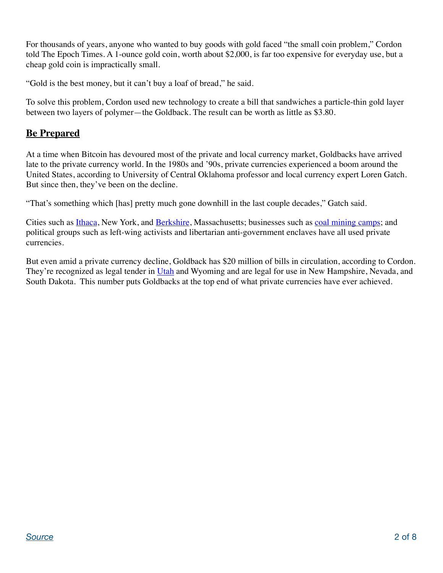For thousands of years, anyone who wanted to buy goods with gold faced "the small coin problem," Cordon told The Epoch Times. A 1-ounce gold coin, worth about \$2,000, is far too expensive for everyday use, but a cheap gold coin is impractically small.

"Gold is the best money, but it can't buy a loaf of bread," he said.

To solve this problem, Cordon used new technology to create a bill that sandwiches a particle-thin gold layer between two layers of polymer—the Goldback. The result can be worth as little as \$3.80.

## **Be Prepared**

At a time when Bitcoin has devoured most of the private and local currency market, Goldbacks have arrived late to the private currency world. In the 1980s and '90s, private currencies experienced a boom around the United States, according to University of Central Oklahoma professor and local currency expert Loren Gatch. But since then, they've been on the decline.

"That's something which [has] pretty much gone downhill in the last couple decades," Gatch said.

Cities such as *[Ithaca](https://www.ithaca.com/ithaca-hours/collection_aa428dc2-65d5-11e0-850e-001cc4c002e0.html)*, New York, and *Berkshire*, Massachusetts; businesses such as [coal mining camps;](https://www.appalachianhistory.net/2018/09/company-store-scrip.html) and political groups such as left-wing activists and libertarian anti-government enclaves have all used private currencies.

But even amid a private currency decline, Goldback has \$20 million of bills in circulation, according to Cordon. They're recognized as legal tender in [Utah](https://www.theepochtimes.com/t-utah) and Wyoming and are legal for use in New Hampshire, Nevada, and South Dakota. This number puts Goldbacks at the top end of what private currencies have ever achieved.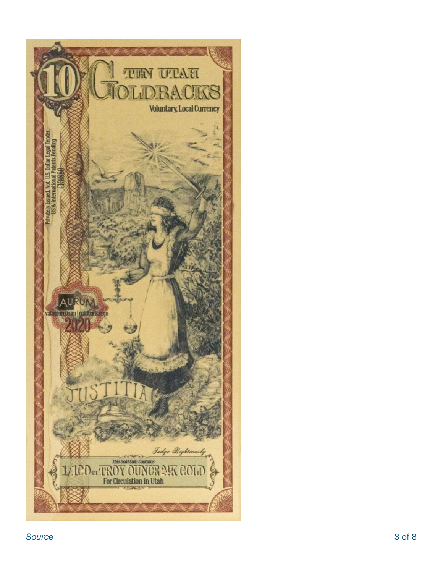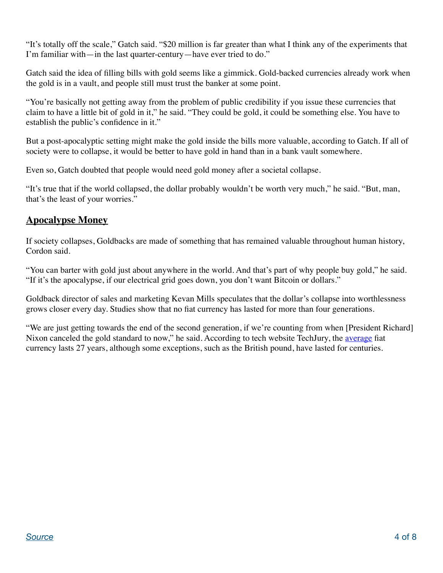"It's totally off the scale," Gatch said. "\$20 million is far greater than what I think any of the experiments that I'm familiar with—in the last quarter-century—have ever tried to do."

Gatch said the idea of filling bills with gold seems like a gimmick. Gold-backed currencies already work when the gold is in a vault, and people still must trust the banker at some point.

"You're basically not getting away from the problem of public credibility if you issue these currencies that claim to have a little bit of gold in it," he said. "They could be gold, it could be something else. You have to establish the public's confidence in it."

But a post-apocalyptic setting might make the gold inside the bills more valuable, according to Gatch. If all of society were to collapse, it would be better to have gold in hand than in a bank vault somewhere.

Even so, Gatch doubted that people would need gold money after a societal collapse.

"It's true that if the world collapsed, the dollar probably wouldn't be worth very much," he said. "But, man, that's the least of your worries."

## **Apocalypse Money**

If society collapses, Goldbacks are made of something that has remained valuable throughout human history, Cordon said.

"You can barter with gold just about anywhere in the world. And that's part of why people buy gold," he said. "If it's the apocalypse, if our electrical grid goes down, you don't want Bitcoin or dollars."

Goldback director of sales and marketing Kevan Mills speculates that the dollar's collapse into worthlessness grows closer every day. Studies show that no fiat currency has lasted for more than four generations.

"We are just getting towards the end of the second generation, if we're counting from when [President Richard] Nixon canceled the gold standard to now," he said. According to tech website TechJury, the [average](https://techjury.net/blog/what-is-a-fiat-currency/) fiat currency lasts 27 years, although some exceptions, such as the British pound, have lasted for centuries.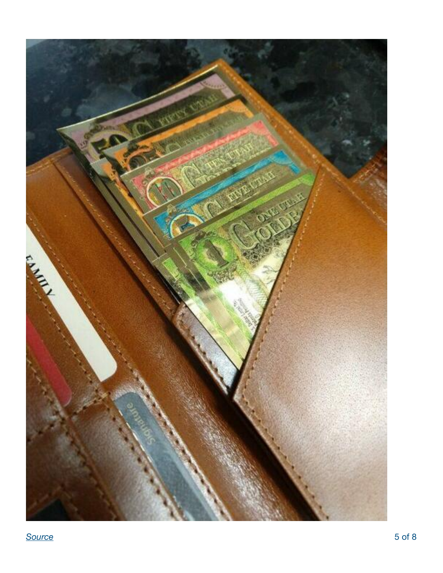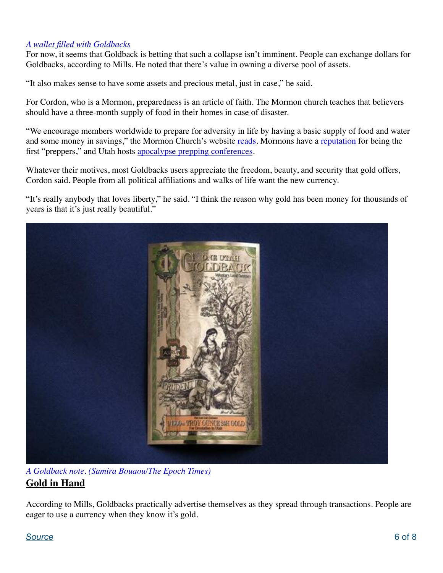#### *A wallet filled with Goldbacks*

For now, it seems that Goldback is betting that such a collapse isn't imminent. People can exchange dollars for Goldbacks, according to Mills. He noted that there's value in owning a diverse pool of assets.

"It also makes sense to have some assets and precious metal, just in case," he said.

For Cordon, who is a Mormon, preparedness is an article of faith. The Mormon church teaches that believers should have a three-month supply of food in their homes in case of disaster.

"We encourage members worldwide to prepare for adversity in life by having a basic supply of food and water and some money in savings," the Mormon Church's website [reads.](https://www.churchofjesuschrist.org/study/manual/gospel-topics/food-storage?lang=eng) Mormons have a [reputation](https://uspreppers.com/how-to-prep-like-a-mormon/) for being the first "preppers," and Utah hosts [apocalypse prepping conferences](https://www.utahpreppers.com/).

Whatever their motives, most Goldbacks users appreciate the freedom, beauty, and security that gold offers, Cordon said. People from all political affiliations and walks of life want the new currency.

"It's really anybody that loves liberty," he said. "I think the reason why gold has been money for thousands of years is that it's just really beautiful."



*A Goldback note. (Samira Bouaou/The Epoch Times)* **Gold in Hand**

According to Mills, Goldbacks practically advertise themselves as they spread through transactions. People are eager to use a currency when they know it's gold.

#### **[Source](https://www.zerohedge.com/technology/new-private-currency-uses-bills-filled-real-gold)** 6 of 8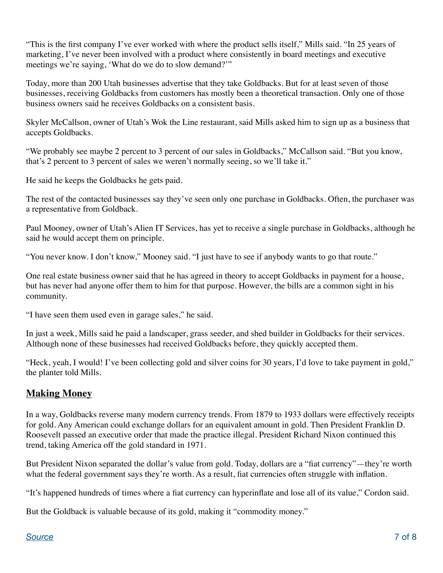"This is the first company I've ever worked with where the product sells itself," Mills said. "In 25 years of marketing, I've never been involved with a product where consistently in board meetings and executive meetings we're saying, 'What do we do to slow demand?'"

Today, more than 200 Utah businesses advertise that they take Goldbacks. But for at least seven of those businesses, receiving Goldbacks from customers has mostly been a theoretical transaction. Only one of those business owners said he receives Goldbacks on a consistent basis.

Skyler McCallson, owner of Utah's Wok the Line restaurant, said Mills asked him to sign up as a business that accepts Goldbacks.

"We probably see maybe 2 percent to 3 percent of our sales in Goldbacks," McCallson said. "But you know, that's 2 percent to 3 percent of sales we weren't normally seeing, so we'll take it."

He said he keeps the Goldbacks he gets paid.

The rest of the contacted businesses say they've seen only one purchase in Goldbacks. Often, the purchaser was a representative from Goldback.

Paul Mooney, owner of Utah's Alien IT Services, has yet to receive a single purchase in Goldbacks, although he said he would accept them on principle.

"You never know. I don't know," Mooney said. "I just have to see if anybody wants to go that route."

One real estate business owner said that he has agreed in theory to accept Goldbacks in payment for a house, but has never had anyone offer them to him for that purpose. However, the bills are a common sight in his community.

"I have seen them used even in garage sales," he said.

In just a week, Mills said he paid a landscaper, grass seeder, and shed builder in Goldbacks for their services. Although none of these businesses had received Goldbacks before, they quickly accepted them.

"Heck, yeah, I would! I've been collecting gold and silver coins for 30 years, I'd love to take payment in gold," the planter told Mills.

# **Making Money**

In a way, Goldbacks reverse many modern currency trends. From 1879 to 1933 dollars were effectively receipts for gold. Any American could exchange dollars for an equivalent amount in gold. Then President Franklin D. Roosevelt passed an executive order that made the practice illegal. President Richard Nixon continued this trend, taking America off the gold standard in 1971.

But President Nixon separated the dollar's value from gold. Today, dollars are a "fiat currency"—they're worth what the federal government says they're worth. As a result, fiat currencies often struggle with inflation.

"It's happened hundreds of times where a fiat currency can hyperinflate and lose all of its value," Cordon said.

But the Goldback is valuable because of its gold, making it "commodity money."